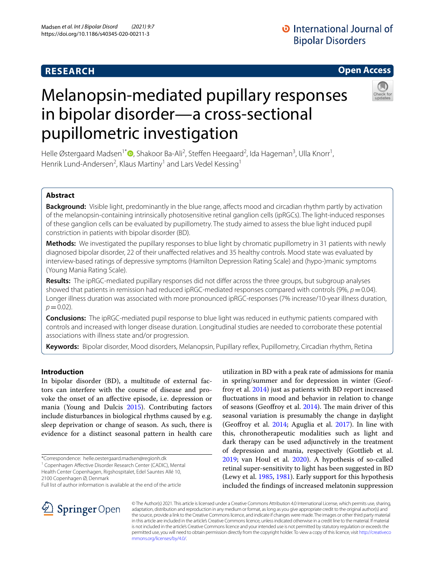# **RESEARCH**

# **Open Access**

# in bipolar disorder—a cross-sectional pupillometric investigation

Melanopsin-mediated pupillary responses

Helle Østergaard Madsen<sup>1\*</sup> (D[,](http://orcid.org/0000-0003-2000-8264) Shakoor Ba-Ali<sup>2</sup>, Steffen Heegaard<sup>2</sup>, Ida Hageman<sup>3</sup>, Ulla Knorr<sup>1</sup>, Henrik Lund-Andersen<sup>2</sup>, Klaus Martiny<sup>1</sup> and Lars Vedel Kessing<sup>1</sup>

# **Abstract**

**Background:** Visible light, predominantly in the blue range, affects mood and circadian rhythm partly by activation of the melanopsin-containing intrinsically photosensitive retinal ganglion cells (ipRGCs). The light-induced responses of these ganglion cells can be evaluated by pupillometry. The study aimed to assess the blue light induced pupil constriction in patients with bipolar disorder (BD).

**Methods:** We investigated the pupillary responses to blue light by chromatic pupillometry in 31 patients with newly diagnosed bipolar disorder, 22 of their unafected relatives and 35 healthy controls. Mood state was evaluated by interview-based ratings of depressive symptoms (Hamilton Depression Rating Scale) and (hypo-)manic symptoms (Young Mania Rating Scale).

**Results:** The ipRGC-mediated pupillary responses did not difer across the three groups, but subgroup analyses showed that patients in remission had reduced ipRGC-mediated responses compared with controls (9%,  $p = 0.04$ ). Longer illness duration was associated with more pronounced ipRGC-responses (7% increase/10-year illness duration,  $p = 0.02$ ).

**Conclusions:** The ipRGC-mediated pupil response to blue light was reduced in euthymic patients compared with controls and increased with longer disease duration. Longitudinal studies are needed to corroborate these potential associations with illness state and/or progression.

**Keywords:** Bipolar disorder, Mood disorders, Melanopsin, Pupillary refex, Pupillometry, Circadian rhythm, Retina

# **Introduction**

In bipolar disorder (BD), a multitude of external factors can interfere with the course of disease and provoke the onset of an afective episode, i.e. depression or mania (Young and Dulcis [2015](#page-9-0)). Contributing factors include disturbances in biological rhythms caused by e.g. sleep deprivation or change of season. As such, there is evidence for a distinct seasonal pattern in health care

<sup>1</sup> Copenhagen Affective Disorder Research Center (CADIC), Mental

Health Center Copenhagen, Rigshospitalet, Edel Sauntes Allé 10, 2100 Copenhagen Ø, Denmark

utilization in BD with a peak rate of admissions for mania in spring/summer and for depression in winter (Geoffroy et al. [2014](#page-8-0)) just as patients with BD report increased fuctuations in mood and behavior in relation to change of seasons (Geoffroy et al. [2014\)](#page-8-0). The main driver of this seasonal variation is presumably the change in daylight (Geofroy et al. [2014;](#page-8-0) Aguglia et al. [2017](#page-8-1)). In line with this, chronotherapeutic modalities such as light and dark therapy can be used adjunctively in the treatment of depression and mania, respectively (Gottlieb et al. [2019](#page-8-2); van Houl et al. [2020](#page-9-1)). A hypothesis of so-called retinal super-sensitivity to light has been suggested in BD (Lewy et al. [1985,](#page-8-3) [1981\)](#page-8-4). Early support for this hypothesis included the fndings of increased melatonin suppression



© The Author(s) 2021. This article is licensed under a Creative Commons Attribution 4.0 International License, which permits use, sharing, adaptation, distribution and reproduction in any medium or format, as long as you give appropriate credit to the original author(s) and the source, provide a link to the Creative Commons licence, and indicate if changes were made. The images or other third party material in this article are included in the article's Creative Commons licence, unless indicated otherwise in a credit line to the material. If material is not included in the article's Creative Commons licence and your intended use is not permitted by statutory regulation or exceeds the permitted use, you will need to obtain permission directly from the copyright holder. To view a copy of this licence, visit [http://creativeco](http://creativecommons.org/licenses/by/4.0/) [mmons.org/licenses/by/4.0/.](http://creativecommons.org/licenses/by/4.0/)

<sup>\*</sup>Correspondence: helle.oestergaard.madsen@regionh.dk

Full list of author information is available at the end of the article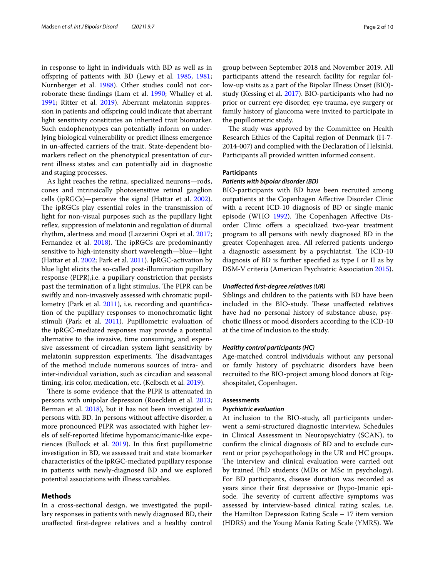in response to light in individuals with BD as well as in ofspring of patients with BD (Lewy et al. [1985](#page-8-3)[, 1981](#page-8-4); Nurnberger et al. [1988\)](#page-9-2). Other studies could not corroborate these fndings (Lam et al. [1990](#page-8-5); Whalley et al. [1991](#page-9-3); Ritter et al. [2019](#page-9-4)). Aberrant melatonin suppression in patients and ofspring could indicate that aberrant light sensitivity constitutes an inherited trait biomarker. Such endophenotypes can potentially inform on underlying biological vulnerability or predict illness emergence in un-afected carriers of the trait. State-dependent biomarkers refect on the phenotypical presentation of current illness states and can potentially aid in diagnostic and staging processes.

As light reaches the retina, specialized neurons—rods, cones and intrinsically photosensitive retinal ganglion cells (ipRGCs)—perceive the signal (Hattar et al. [2002](#page-8-6)). The ipRGCs play essential roles in the transmission of light for non-visual purposes such as the pupillary light reflex, suppression of melatonin and regulation of diurnal rhythm, alertness and mood (Lazzerini Ospri et al. [2017](#page-8-7); Fernandez et al.  $2018$ ). The ipRGCs are predominantly sensitive to high-intensity short wavelength—blue—light (Hattar et al. [2002;](#page-8-6) Park et al. [2011](#page-9-5)). IpRGC-activation by blue light elicits the so-called post-illumination pupillary response (PIPR),i.e. a pupillary constriction that persists past the termination of a light stimulus. The PIPR can be swiftly and non-invasively assessed with chromatic pupil-lometry (Park et al. [2011\)](#page-9-5), i.e. recording and quantification of the pupillary responses to monochromatic light stimuli (Park et al. [2011\)](#page-9-5). Pupillometric evaluation of the ipRGC-mediated responses may provide a potential alternative to the invasive, time consuming, and expensive assessment of circadian system light sensitivity by melatonin suppression experiments. The disadvantages of the method include numerous sources of intra- and inter-individual variation, such as circadian and seasonal timing, iris color, medication, etc. (Kelbsch et al. [2019](#page-8-9)).

There is some evidence that the PIPR is attenuated in persons with unipolar depression (Roecklein et al. [2013](#page-9-6); Berman et al. [2018](#page-8-10)), but it has not been investigated in persons with BD. In persons without afective disorder, a more pronounced PIPR was associated with higher levels of self-reported lifetime hypomanic/manic-like experiences (Bullock et al. [2019\)](#page-8-11). In this frst pupillometric investigation in BD, we assessed trait and state biomarker characteristics of the ipRGC-mediated pupillary response in patients with newly-diagnosed BD and we explored potential associations with illness variables.

# **Methods**

In a cross-sectional design, we investigated the pupillary responses in patients with newly diagnosed BD, their unafected frst-degree relatives and a healthy control group between September 2018 and November 2019. All participants attend the research facility for regular follow-up visits as a part of the Bipolar Illness Onset (BIO) study (Kessing et al. [2017](#page-8-12)). BIO-participants who had no prior or current eye disorder, eye trauma, eye surgery or family history of glaucoma were invited to participate in the pupillometric study.

The study was approved by the Committee on Health Research Ethics of the Capital region of Denmark (H-7- 2014-007) and complied with the Declaration of Helsinki. Participants all provided written informed consent.

# **Participants**

# *Patients with bipolar disorder (BD)*

BIO-participants with BD have been recruited among outpatients at the Copenhagen Afective Disorder Clinic with a recent ICD-10 diagnosis of BD or single manic episode (WHO [1992\)](#page-9-7). The Copenhagen Affective Disorder Clinic offers a specialized two-year treatment program to all persons with newly diagnosed BD in the greater Copenhagen area. All referred patients undergo a diagnostic assessment by a psychiatrist. The ICD-10 diagnosis of BD is further specifed as type I or II as by DSM-V criteria (American Psychiatric Association [2015](#page-8-13)).

# *Unafected frst‑degree relatives (UR)*

Siblings and children to the patients with BD have been included in the BIO-study. These unaffected relatives have had no personal history of substance abuse, psychotic illness or mood disorders according to the ICD-10 at the time of inclusion to the study.

# *Healthy control participants (HC)*

Age-matched control individuals without any personal or family history of psychiatric disorders have been recruited to the BIO-project among blood donors at Rigshospitalet, Copenhagen.

# **Assessments**

#### *Psychiatric evaluation*

At inclusion to the BIO-study, all participants underwent a semi-structured diagnostic interview, Schedules in Clinical Assessment in Neuropsychiatry (SCAN), to confrm the clinical diagnosis of BD and to exclude current or prior psychopathology in the UR and HC groups. The interview and clinical evaluation were carried out by trained PhD students (MDs or MSc in psychology). For BD participants, disease duration was recorded as years since their frst depressive or (hypo-)manic episode. The severity of current affective symptoms was assessed by interview-based clinical rating scales, i.e. the Hamilton Depression Rating Scale – 17 item version (HDRS) and the Young Mania Rating Scale (YMRS). We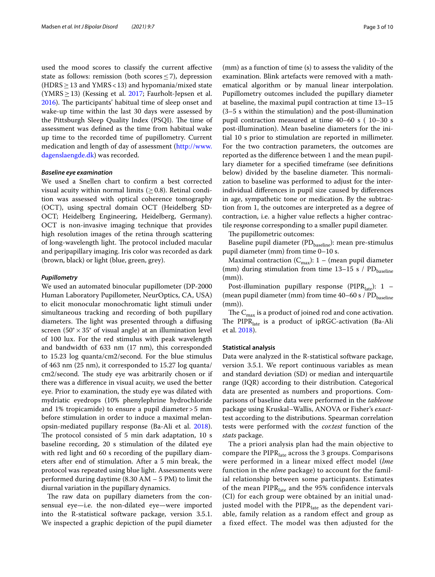used the mood scores to classify the current afective state as follows: remission (both scores <7), depression (HDRS  $\geq$  13 and YMRS < 13) and hypomania/mixed state (YMRS  $\geq$  13) (Kessing et al. [2017;](#page-8-12) Faurholt-Jepsen et al. [2016](#page-8-14)). The participants' habitual time of sleep onset and wake-up time within the last 30 days were assessed by the Pittsburgh Sleep Quality Index (PSQI). The time of assessment was defned as the time from habitual wake up time to the recorded time of pupillometry. Current medication and length of day of assessment [\(http://www.](http://www.dagenslaengde.dk) [dagenslaengde.dk\)](http://www.dagenslaengde.dk) was recorded.

# *Baseline eye examination*

We used a Snellen chart to confrm a best corrected visual acuity within normal limits ( $\geq$  0.8). Retinal condition was assessed with optical coherence tomography (OCT), using spectral domain OCT (Heidelberg SD-OCT; Heidelberg Engineering, Heidelberg, Germany). OCT is non-invasive imaging technique that provides high resolution images of the retina through scattering of long-wavelength light. The protocol included macular and peripapillary imaging. Iris color was recorded as dark (brown, black) or light (blue, green, grey).

# *Pupillometry*

We used an automated binocular pupillometer (DP-2000 Human Laboratory Pupillometer, NeurOptics, CA, USA) to elicit monocular monochromatic light stimuli under simultaneous tracking and recording of both pupillary diameters. The light was presented through a diffusing screen  $(50^{\circ} \times 35^{\circ}$  of visual angle) at an illumination level of 100 lux. For the red stimulus with peak wavelength and bandwidth of 633 nm (17 nm), this corresponded to 15.23 log quanta/cm2/second. For the blue stimulus of 463 nm (25 nm), it corresponded to 15.27 log quanta/ cm2/second. The study eye was arbitrarily chosen or if there was a diference in visual acuity, we used the better eye. Prior to examination, the study eye was dilated with mydriatic eyedrops (10% phenylephrine hydrochloride and 1% tropicamide) to ensure a pupil diameter>5 mm before stimulation in order to induce a maximal melanopsin-mediated pupillary response (Ba-Ali et al. [2018](#page-8-15)). The protocol consisted of 5 min dark adaptation, 10 s baseline recording, 20 s stimulation of the dilated eye with red light and 60 s recording of the pupillary diameters after end of stimulation. After a 5 min break, the protocol was repeated using blue light. Assessments were performed during daytime (8.30 AM – 5 PM) to limit the diurnal variation in the pupillary dynamics.

The raw data on pupillary diameters from the consensual eye—i.e. the non-dilated eye—were imported into the R-statistical software package, version 3.5.1. We inspected a graphic depiction of the pupil diameter

(mm) as a function of time (s) to assess the validity of the examination. Blink artefacts were removed with a mathematical algorithm or by manual linear interpolation. Pupillometry outcomes included the pupillary diameter at baseline, the maximal pupil contraction at time 13–15 (3–5 s within the stimulation) and the post-illumination pupil contraction measured at time 40–60 s ( 10–30 s post-illumination). Mean baseline diameters for the initial 10 s prior to stimulation are reported in millimeter. For the two contraction parameters, the outcomes are reported as the diference between 1 and the mean pupillary diameter for a specifed timeframe (see defnitions below) divided by the baseline diameter. This normalization to baseline was performed to adjust for the interindividual diferences in pupil size caused by diferences in age, sympathetic tone or medication. By the subtraction from 1, the outcomes are interpreted as a degree of contraction, i.e. a higher value refects a higher contractile res*p*onse corresponding to a smaller pupil diameter.

The pupillometric outcomes:

Baseline pupil diameter  $(PD_{\text{baseline}}):$  mean pre-stimulus pupil diameter (mm) from time 0–10 s.

Maximal contraction  $(C_{\text{max}}): 1 - ($ mean pupil diameter (mm) during stimulation from time  $13-15$  s / PD<sub>baseline</sub> (mm)).

Post-illumination pupillary response (PIPR $_{\text{late}}$ ): 1 – (mean pupil diameter (mm) from time  $40-60$  s /  $PD_{\text{baseline}}$ (mm)).

The  $C_{\text{max}}$  is a product of joined rod and cone activation. The PIPR $_{\text{late}}$  is a product of ipRGC-activation (Ba-Ali et al. [2018](#page-8-15)).

# **Statistical analysis**

Data were analyzed in the R-statistical software package, version 3.5.1. We report continuous variables as mean and standard deviation (SD) or median and interquartile range (IQR) according to their distribution. Categorical data are presented as numbers and proportions. Comparisons of baseline data were performed in the *tableone* package using Kruskal–Wallis, ANOVA or Fisher's *exact*test according to the distributions. Spearman correlation tests were performed with the *cor.test* function of the *stats* package.

The a priori analysis plan had the main objective to compare the  $PIPR<sub>late</sub>$  across the 3 groups. Comparisons were performed in a linear mixed effect model (*lme* function in the *nlme* package) to account for the familial relationship between some participants. Estimates of the mean  $PIPR<sub>late</sub>$  and the 95% confidence intervals (CI) for each group were obtained by an initial unadjusted model with the  $PIPR<sub>late</sub>$  as the dependent variable, family relation as a random effect and group as a fixed effect. The model was then adjusted for the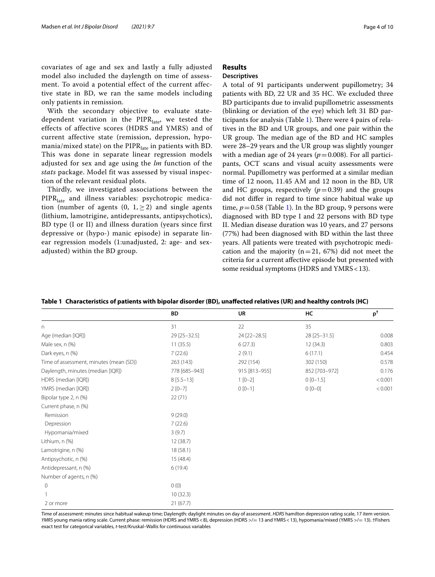covariates of age and sex and lastly a fully adjusted model also included the daylength on time of assessment. To avoid a potential effect of the current affective state in BD, we ran the same models including only patients in remission.

With the secondary objective to evaluate statedependent variation in the  $PIPR<sub>late</sub>$ , we tested the effects of affective scores (HDRS and YMRS) and of current affective state (remission, depression, hypomania/mixed state) on the  $PIPR<sub>late</sub>$  in patients with BD. This was done in separate linear regression models adjusted for sex and age using the *lm* function of the *stats* package. Model fit was assessed by visual inspection of the relevant residual plots.

Thirdly, we investigated associations between the PIPR<sub>late</sub> and illness variables: psychotropic medication (number of agents  $(0, 1, \ge 2)$  and single agents (lithium, lamotrigine, antidepressants, antipsychotics), BD type (I or II) and illness duration (years since first depressive or (hypo-) manic episode) in separate linear regression models (1:unadjusted, 2: age- and sexadjusted) within the BD group.

# **Results**

# **Descriptives**

A total of 91 participants underwent pupillometry; 34 patients with BD, 22 UR and 35 HC. We excluded three BD participants due to invalid pupillometric assessments (blinking or deviation of the eye) which left 31 BD par-ticipants for analysis (Table [1\)](#page-3-0). There were  $4$  pairs of relatives in the BD and UR groups, and one pair within the UR group. The median age of the BD and HC samples were 28–29 years and the UR group was slightly younger with a median age of 24 years ( $p=0.008$ ). For all participants, OCT scans and visual acuity assessments were normal. Pupillometry was performed at a similar median time of 12 noon, 11.45 AM and 12 noon in the BD, UR and HC groups, respectively  $(p=0.39)$  and the groups did not difer in regard to time since habitual wake up time,  $p = 0.58$  (Table [1](#page-3-0)). In the BD group, 9 persons were diagnosed with BD type I and 22 persons with BD type II. Median disease duration was 10 years, and 27 persons (77%) had been diagnosed with BD within the last three years. All patients were treated with psychotropic medication and the majority ( $n=21$ , 67%) did not meet the criteria for a current afective episode but presented with some residual symptoms (HDRS and YMRS < 13).

<span id="page-3-0"></span>

|  |  | Table 1 Characteristics of patients with bipolar disorder (BD), unaffected relatives (UR) and healthy controls (HC) |  |
|--|--|---------------------------------------------------------------------------------------------------------------------|--|
|  |  |                                                                                                                     |  |

|                                         | <b>BD</b>     | <b>UR</b>     | HC            | $p^{\dagger}$ |
|-----------------------------------------|---------------|---------------|---------------|---------------|
| n                                       | 31            | 22            | 35            |               |
| Age (median [IQR])                      | 29 [25-32.5]  | 24 [22-28.5]  | 28 [25-31.5]  | 0.008         |
| Male sex, n (%)                         | 11(35.5)      | 6(27.3)       | 12(34.3)      | 0.803         |
| Dark eyes, n (%)                        | 7(22.6)       | 2(9.1)        | 6(17.1)       | 0.454         |
| Time of assessment, minutes (mean (SD)) | 263 (143)     | 292 (154)     | 302 (150)     | 0.578         |
| Daylength, minutes (median [IQR])       | 778 [685-943] | 915 [813-955] | 852 [703-972] | 0.176         |
| HDRS (median [IQR])                     | $8[5.5-13]$   | $1 [0-2]$     | $0[0-1.5]$    | < 0.001       |
| YMRS (median [IQR])                     | $2[0-7]$      | $0[0-1]$      | $0 [0 - 0]$   | < 0.001       |
| Bipolar type 2, n (%)                   | 22(71)        |               |               |               |
| Current phase, n (%)                    |               |               |               |               |
| Remission                               | 9(29.0)       |               |               |               |
| Depression                              | 7(22.6)       |               |               |               |
| Hypomania/mixed                         | 3(9.7)        |               |               |               |
| Lithium, n (%)                          | 12(38.7)      |               |               |               |
| Lamotrigine, n (%)                      | 18(58.1)      |               |               |               |
| Antipsychotic, n (%)                    | 15(48.4)      |               |               |               |
| Antidepressant, n (%)                   | 6(19.4)       |               |               |               |
| Number of agents, n (%)                 |               |               |               |               |
| $\mathbf 0$                             | 0(0)          |               |               |               |
|                                         | 10(32.3)      |               |               |               |
| 2 or more                               | 21(67.7)      |               |               |               |

Time of assessment: minutes since habitual wakeup time; Daylength: daylight minutes on day of assessment. *HDRS* hamilton depression rating scale, 17 item version. YMRS young mania rating scale. Current phase: remission (HDRS and YMRS <8), depression (HDRS >/= 13 and YMRS <13), hypomania/mixed (YMRS >/= 13). †Fishers exact test for categorical variables, *t*-test/Kruskal–Wallis for continuous variables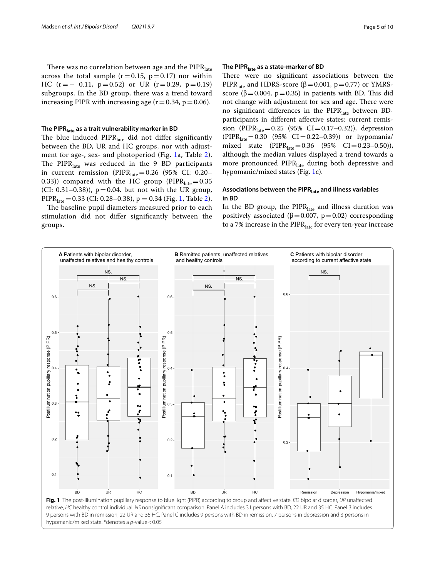# **The PIPRlate as a trait vulnerability marker in BD**

The blue induced  $PIPR<sub>late</sub>$  did not differ significantly between the BD, UR and HC groups, nor with adjustment for age-, sex- and photoperiod (Fig. [1](#page-4-0)a, Table [2\)](#page-5-0). The PIPR $_{\text{late}}$  was reduced in the 9 BD participants in current remission (PIPR<sub>late</sub> = 0.26 (95% CI: 0.20– 0.33)) compared with the HC group ( $PIPR<sub>late</sub> = 0.35$ (CI: 0.31–0.38)),  $p = 0.04$ . but not with the UR group, PIPR<sub>late</sub> = 0.33 (CI: 0.28–0.38), p = 0.34 (Fig. [1](#page-4-0), Table [2\)](#page-5-0).

The baseline pupil diameters measured prior to each stimulation did not difer signifcantly between the groups.

# **The PIPRlate as a state‑marker of BD**

There were no significant associations between the PIPR<sub>late</sub> and HDRS-score ( $\beta$  = 0.001, p = 0.77) or YMRSscore ( $\beta$ =0.004, p=0.35) in patients with BD. This did not change with adjustment for sex and age. There were no significant differences in the PIPR<sub>late</sub> between BDparticipants in diferent afective states: current remission (PIPR<sub>late</sub>=0.25 (95% CI=0.17-0.32)), depression  $(PIPR<sub>late</sub> = 0.30 (95% CI = 0.22-0.39))$  or hypomania/ mixed state  $(PIPR_{late}=0.36 \ (95\% \ CI=0.23-0.50)),$ although the median values displayed a trend towards a more pronounced PIPR<sub>late</sub> during both depressive and hypomanic/mixed states (Fig. [1](#page-4-0)c).

# **Associations between the PIPRlate and illness variables in BD**

In the BD group, the  $PIPR<sub>late</sub>$  and illness duration was positively associated ( $β=0.007$ ,  $p=0.02$ ) corresponding to a 7% increase in the  $PIPR<sub>late</sub>$  for every ten-year increase

<span id="page-4-0"></span>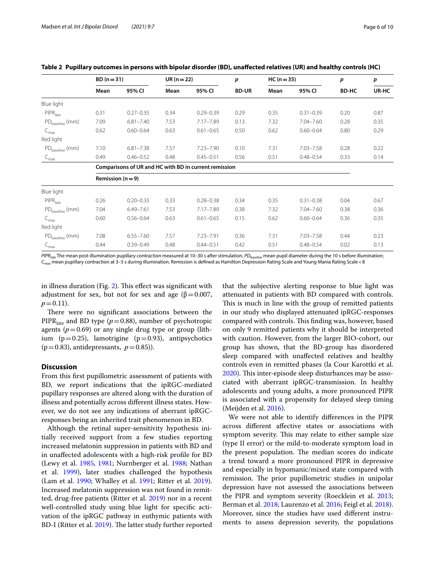|                                 | $BD (n = 31)$                                         |               | $UR(n=22)$ | p             | $HC (n = 35)$ |      | p             | p     |       |
|---------------------------------|-------------------------------------------------------|---------------|------------|---------------|---------------|------|---------------|-------|-------|
|                                 | Mean                                                  | 95% CI        | Mean       | 95% CI        | <b>BD-UR</b>  | Mean | 95% CI        | BD-HC | UR-HC |
| Blue light                      |                                                       |               |            |               |               |      |               |       |       |
| PIPR <sub>late</sub>            | 0.31                                                  | $0.27 - 0.35$ | 0.34       | $0.29 - 0.39$ | 0.29          | 0.35 | $0.31 - 0.39$ | 0.20  | 0.87  |
| PD <sub>baseline</sub> (mm)     | 7.09                                                  | $6.81 - 7.40$ | 7.53       | 7.17-7.89     | 0.13          | 7.32 | $7.04 - 7.60$ | 0.28  | 0.35  |
| $C_{\text{max}}$                | 0.62                                                  | $0.60 - 0.64$ | 0.63       | $0.61 - 0.65$ | 0.50          | 0.62 | $0.60 - 0.64$ | 0.80  | 0.29  |
| Red light                       |                                                       |               |            |               |               |      |               |       |       |
| PD <sub>baseline</sub> (mm)     | 7.10                                                  | $6.81 - 7.38$ | 7.57       | $7.23 - 7.90$ | 0.10          | 7.31 | $7.03 - 7.58$ | 0.28  | 0.22  |
| $C_{\text{max}}$                | 0.49                                                  | $0.46 - 0.52$ | 0.48       | $0.45 - 0.51$ | 0.56          | 0.51 | $0.48 - 0.54$ | 0.33  | 0.14  |
|                                 | Comparisons of UR and HC with BD in current remission |               |            |               |               |      |               |       |       |
|                                 | Remission ( $n = 9$ )                                 |               |            |               |               |      |               |       |       |
| Blue light                      |                                                       |               |            |               |               |      |               |       |       |
| $\mathsf{PIPR}_{\mathsf{late}}$ | 0.26                                                  | $0.20 - 0.33$ | 0.33       | $0.28 - 0.38$ | 0.34          | 0.35 | $0.31 - 0.38$ | 0.04  | 0.67  |
| PD <sub>baseline</sub> (mm)     | 7.04                                                  | $6.49 - 7.61$ | 7.53       | 7.17-7.89     | 0.38          | 7.32 | $7.04 - 7.60$ | 0.38  | 0.36  |
| $C_{\text{max}}$                | 0.60                                                  | $0.56 - 0.64$ | 0.63       | $0.61 - 0.65$ | 0.15          | 0.62 | $0.60 - 0.64$ | 0.36  | 0.35  |
| Red light                       |                                                       |               |            |               |               |      |               |       |       |
| PD <sub>baseline</sub> (mm)     | 7.08                                                  | $6.55 - 7.60$ | 7.57       | $7.23 - 7.91$ | 0.36          | 7.31 | $7.03 - 7.58$ | 0.44  | 0.23  |
| $\subset_{\sf max}$             | 0.44                                                  | $0.39 - 0.49$ | 0.48       | $0.44 - 0.51$ | 0.42          | 0.51 | $0.48 - 0.54$ | 0.02  | 0.13  |

<span id="page-5-0"></span>**Table 2 Pupillary outcomes in persons with bipolar disorder (BD), unafected relatives (UR) and healthy controls (HC)** 

*PIPRlate* The mean post-illumination pupillary contraction measured at 10–30 s after stimulation, *PDbaseline* mean pupil diameter during the 10 s before illumination; *Cmax* mean pupillary contraction at 3–5 s during illumination. Remission is defned as Hamilton Depression Rating Scale and Young Mania Rating Scale<8

in illness duration (Fig.  $2$ ). This effect was significant with adjustment for sex, but not for sex and age ( $\beta$ =0.007,  $p=0.11$ ).

There were no significant associations between the PIPR<sub>late</sub> and BD type ( $p=0.88$ ), number of psychotropic agents  $(p=0.69)$  or any single drug type or group (lithium ( $p=0.25$ ), lamotrigine ( $p=0.93$ ), antipsychotics  $(p=0.83)$ , antidepressants,  $p=0.85$ ).

# **Discussion**

From this frst pupillometric assessment of patients with BD, we report indications that the ipRGC-mediated pupillary responses are altered along with the duration of illness and potentially across diferent illness states. However, we do not see any indications of aberrant ipRGCresponses being an inherited trait phenomenon in BD.

Although the retinal super-sensitivity hypothesis initially received support from a few studies reporting increased melatonin suppression in patients with BD and in unafected adolescents with a high-risk profle for BD (Lewy et al. [1985,](#page-8-3) [1981;](#page-8-4) Nurnberger et al. [1988;](#page-9-2) Nathan et al. [1999\)](#page-9-8), later studies challenged the hypothesis (Lam et al. [1990](#page-8-5); Whalley et al. [1991](#page-9-3); Ritter et al. [2019](#page-9-4)). Increased melatonin suppression was not found in remitted, drug-free patients (Ritter et al. [2019](#page-9-4)) nor in a recent well-controlled study using blue light for specifc activation of the ipRGC pathway in euthymic patients with BD-I (Ritter et al. [2019](#page-9-4)). The latter study further reported

that the subjective alerting response to blue light was attenuated in patients with BD compared with controls. This is much in line with the group of remitted patients in our study who displayed attenuated ipRGC-responses compared with controls. This finding was, however, based on only 9 remitted patients why it should be interpreted with caution. However, from the larger BIO-cohort, our group has shown, that the BD-group has disordered sleep compared with unafected relatives and healthy controls even in remitted phases (la Cour Karottki et al. [2020](#page-8-16)). This inter-episode sleep disturbances may be associated with aberrant ipRGC-transmission. In healthy adolescents and young adults, a more pronounced PIPR is associated with a propensity for delayed sleep timing (Meijden et al. [2016](#page-9-9)).

We were not able to identify diferences in the PIPR across diferent afective states or associations with symptom severity. This may relate to either sample size (type II error) or the mild-to-moderate symptom load in the present population. The median scores do indicate a trend toward a more pronounced PIPR in depressive and especially in hypomanic/mixed state compared with remission. The prior pupillometric studies in unipolar depression have not assessed the associations between the PIPR and symptom severity (Roecklein et al. [2013](#page-9-6); Berman et al. [2018](#page-8-10); Laurenzo et al. [2016](#page-8-17); Feigl et al. [2018](#page-8-18)). Moreover, since the studies have used diferent instruments to assess depression severity, the populations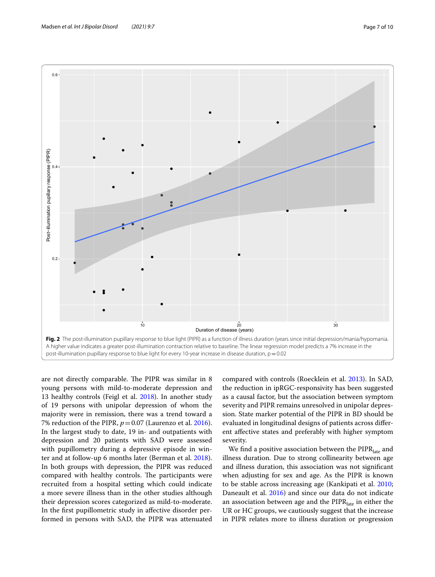

<span id="page-6-0"></span>are not directly comparable. The PIPR was similar in 8 young persons with mild-to-moderate depression and 13 healthy controls (Feigl et al. [2018](#page-8-18)). In another study of 19 persons with unipolar depression of whom the majority were in remission, there was a trend toward a 7% reduction of the PIPR,  $p = 0.07$  (Laurenzo et al. [2016](#page-8-17)). In the largest study to date, 19 in- and outpatients with depression and 20 patients with SAD were assessed with pupillometry during a depressive episode in winter and at follow-up 6 months later (Berman et al. [2018](#page-8-10)). In both groups with depression, the PIPR was reduced compared with healthy controls. The participants were recruited from a hospital setting which could indicate a more severe illness than in the other studies although their depression scores categorized as mild-to-moderate. In the frst pupillometric study in afective disorder performed in persons with SAD, the PIPR was attenuated

compared with controls (Roecklein et al. [2013\)](#page-9-6). In SAD, the reduction in ipRGC-responsivity has been suggested as a causal factor, but the association between symptom severity and PIPR remains unresolved in unipolar depression. State marker potential of the PIPR in BD should be evaluated in longitudinal designs of patients across diferent afective states and preferably with higher symptom severity.

We find a positive association between the PIPR<sub>late</sub> and illness duration. Due to strong collinearity between age and illness duration, this association was not signifcant when adjusting for sex and age. As the PIPR is known to be stable across increasing age (Kankipati et al. [2010](#page-8-19); Daneault et al. [2016](#page-8-20)) and since our data do not indicate an association between age and the  $PIPR<sub>late</sub>$  in either the UR or HC groups, we cautiously suggest that the increase in PIPR relates more to illness duration or progression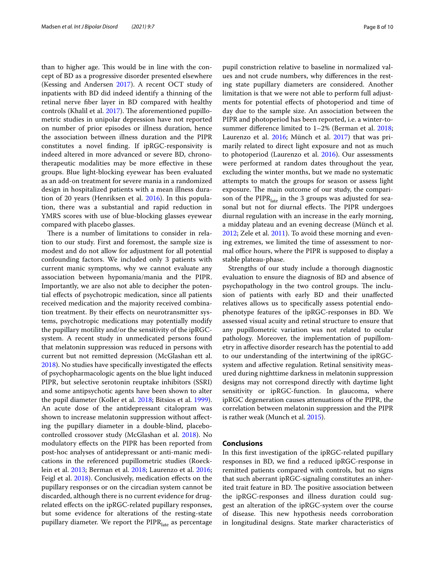than to higher age. This would be in line with the concept of BD as a progressive disorder presented elsewhere (Kessing and Andersen [2017](#page-8-21)). A recent OCT study of inpatients with BD did indeed identify a thinning of the retinal nerve fber layer in BD compared with healthy controls (Khalil et al. [2017\)](#page-8-22). The aforementioned pupillometric studies in unipolar depression have not reported on number of prior episodes or illness duration, hence the association between illness duration and the PIPR constitutes a novel fnding. If ipRGC-responsivity is indeed altered in more advanced or severe BD, chronotherapeutic modalities may be more efective in these groups. Blue light-blocking eyewear has been evaluated as an add-on treatment for severe mania in a randomized design in hospitalized patients with a mean illness duration of 20 years (Henriksen et al. [2016](#page-8-23)). In this population, there was a substantial and rapid reduction in YMRS scores with use of blue-blocking glasses eyewear compared with placebo glasses.

There is a number of limitations to consider in relation to our study. First and foremost, the sample size is modest and do not allow for adjustment for all potential confounding factors. We included only 3 patients with current manic symptoms, why we cannot evaluate any association between hypomania/mania and the PIPR. Importantly, we are also not able to decipher the potential efects of psychotropic medication, since all patients received medication and the majority received combination treatment. By their efects on neurotransmitter systems, psychotropic medications may potentially modify the pupillary motility and/or the sensitivity of the ipRGCsystem. A recent study in unmedicated persons found that melatonin suppression was reduced in persons with current but not remitted depression (McGlashan ett al. [2018](#page-8-21)). No studies have specifcally investigated the efects of psychopharmacologic agents on the blue light induced PIPR, but selective serotonin reuptake inhibitors (SSRI) and some antipsychotic agents have been shown to alter the pupil diameter (Koller et al. [2018](#page-8-24); Bitsios et al. [1999](#page-8-25)). An acute dose of the antidepressant citalopram was shown to increase melatonin suppression without afecting the pupillary diameter in a double-blind, placebocontrolled crossover study (McGlashan et al. [2018\)](#page-8-26). No modulatory efects on the PIPR has been reported from post-hoc analyses of antidepressant or anti-manic medications in the referenced pupillometric studies (Roecklein et al. [2013;](#page-9-6) Berman et al. [2018;](#page-8-10) Laurenzo et al. [2016](#page-8-17); Feigl et al. [2018](#page-8-18)). Conclusively, medication effects on the pupillary responses or on the circadian system cannot be discarded, although there is no current evidence for drugrelated effects on the ipRGC-related pupillary responses, but some evidence for alterations of the resting-state pupillary diameter. We report the  $PIPR<sub>late</sub>$  as percentage pupil constriction relative to baseline in normalized values and not crude numbers, why diferences in the resting state pupillary diameters are considered. Another limitation is that we were not able to perform full adjustments for potential efects of photoperiod and time of day due to the sample size. An association between the PIPR and photoperiod has been reported, i.e. a winter-tosummer diference limited to 1–2% (Berman et al. [2018](#page-8-10); Laurenzo et al. [2016;](#page-8-17) Münch et al. [2017](#page-9-10)) that was primarily related to direct light exposure and not as much to photoperiod (Laurenzo et al. [2016\)](#page-8-17). Our assessments were performed at random dates throughout the year, excluding the winter months, but we made no systematic attempts to match the groups for season or assess light exposure. The main outcome of our study, the comparison of the  $PIPR<sub>late</sub>$  in the 3 groups was adjusted for seasonal but not for diurnal effects. The PIPR undergoes diurnal regulation with an increase in the early morning, a midday plateau and an evening decrease (Münch et al. [2012](#page-9-11); Zele et al. [2011\)](#page-9-12). To avoid these morning and evening extremes, we limited the time of assessment to normal office hours, where the PIPR is supposed to display a stable plateau-phase.

Strengths of our study include a thorough diagnostic evaluation to ensure the diagnosis of BD and absence of psychopathology in the two control groups. The inclusion of patients with early BD and their unafected relatives allows us to specifcally assess potential endophenotype features of the ipRGC-responses in BD. We assessed visual acuity and retinal structure to ensure that any pupillometric variation was not related to ocular pathology. Moreover, the implementation of pupillometry in afective disorder research has the potential to add to our understanding of the intertwining of the ipRGCsystem and afective regulation. Retinal sensitivity measured during nighttime darkness in melatonin suppression designs may not correspond directly with daytime light sensitivity or ipRGC-function. In glaucoma, where ipRGC degeneration causes attenuations of the PIPR, the correlation between melatonin suppression and the PIPR is rather weak (Munch et al. [2015](#page-9-13)).

# **Conclusions**

In this frst investigation of the ipRGC-related pupillary responses in BD, we fnd a reduced ipRGC-response in remitted patients compared with controls, but no signs that such aberrant ipRGC-signaling constitutes an inherited trait feature in BD. The positive association between the ipRGC-responses and illness duration could suggest an alteration of the ipRGC-system over the course of disease. This new hypothesis needs corroboration in longitudinal designs. State marker characteristics of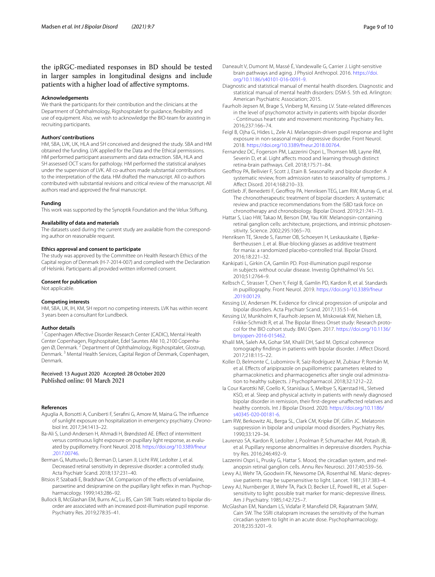# the ipRGC-mediated responses in BD should be tested in larger samples in longitudinal designs and include patients with a higher load of afective symptoms.

# **Acknowledgements**

We thank the participants for their contribution and the clinicians at the Department of Ophthalmology, Rigshospitalet for guidance, fexibility and use of equipment. Also, we wish to acknowledge the BIO-team for assisting in recruiting participants.

#### **Authors' contributions**

HM, SBA, LVK, UK, HLA and SH conceived and designed the study. SBA and HM obtained the funding. LVK applied for the Data and the Ethical permissions. HM performed participant assessments and data extraction. SBA, HLA and SH assessed OCT scans for pathology. HM performed the statistical analyses under the supervision of LVK. All co-authors made substantial contributions to the interpretation of the data. HM drafted the manuscript. All co-authors contributed with substantial revisions and critical review of the manuscript. All authors read and approved the fnal manuscript.

#### **Funding**

This work was supported by the Synoptik Foundation and the Velux Stiftung.

#### **Availability of data and materials**

The datasets used during the current study are available from the corresponding author on reasonable request.

#### **Ethics approval and consent to participate**

The study was approved by the Committee on Health Research Ethics of the Capital region of Denmark (H-7-2014-007) and complied with the Declaration of Helsinki. Participants all provided written informed consent.

#### **Consent for publication**

Not applicable.

#### **Competing interests**

HM, SBA, UK, IH, KM, SH report no competing interests. LVK has within recent 3 years been a consultant for Lundbeck.

#### **Author details**

<sup>1</sup> Copenhagen Afective Disorder Research Center (CADIC), Mental Health Center Copenhagen, Rigshospitalet, Edel Sauntes Allé 10, 2100 Copenhagen Ø, Denmark.<sup>2</sup> Department of Ophthalmology, Rigshospitalet, Glostrup, Denmark. 3 Mental Health Services, Capital Region of Denmark, Copenhagen, Denmark.

# Received: 13 August 2020 Accepted: 28 October 2020 Published online: 01 March 2021

# **References**

- <span id="page-8-1"></span>Aguglia A, Borsotti A, Cuniberti F, Serafni G, Amore M, Maina G. The infuence of sunlight exposure on hospitalization in emergency psychiatry. Chronobiol Int. 2017;34:1413–22.
- <span id="page-8-15"></span>Ba-Ali S, Lund-Andersen H, Ahmadi H, Brøndsted AE. Efect of intermittent versus continuous light exposure on pupillary light response, as evaluated by pupillometry. Front Neurol. 2018. [https://doi.org/10.3389/fneur](https://doi.org/10.3389/fneur.2017.00746) [.2017.00746](https://doi.org/10.3389/fneur.2017.00746).
- <span id="page-8-10"></span>Berman G, Muttuvelu D, Berman D, Larsen JI, Licht RW, Ledolter J, et al. Decreased retinal sensitivity in depressive disorder: a controlled study. Acta Psychiatr Scand. 2018;137:231–40.
- <span id="page-8-25"></span>Bitsios P, Szabadi E, Bradshaw CM. Comparison of the effects of venlafaxine, paroxetine and desipramine on the pupillary light reflex in man. Psychopharmacology. 1999;143:286–92.
- <span id="page-8-11"></span>Bullock B, McGlashan EM, Burns AC, Lu BS, Cain SW. Traits related to bipolar disorder are associated with an increased post-illumination pupil response. Psychiatry Res. 2019;278:35–41.
- <span id="page-8-20"></span>Daneault V, Dumont M, Massé É, Vandewalle G, Carrier J. Light-sensitive brain pathways and aging. J Physiol Anthropol. 2016. [https://doi.](https://doi.org/10.1186/s40101-016-0091-9) [org/10.1186/s40101-016-0091-9.](https://doi.org/10.1186/s40101-016-0091-9)
- <span id="page-8-13"></span>Diagnostic and statistical manual of mental health disorders. Diagnostic and statistical manual of mental health disorders: DSM-5. 5th ed. Arlington: American Psychiatric Association; 2015.
- <span id="page-8-14"></span>Faurholt-Jepsen M, Brage S, Vinberg M, Kessing LV. State-related diferences in the level of psychomotor activity in patients with bipolar disorder - Continuous heart rate and movement monitoring. Psychiatry Res. 2016;237:166–74.
- <span id="page-8-18"></span>Feigl B, Ojha G, Hides L, Zele AJ. Melanopsin-driven pupil response and light exposure in non-seasonal major depressive disorder. Front Neurol. 2018. <https://doi.org/10.3389/fneur.2018.00764>.
- <span id="page-8-8"></span>Fernandez DC, Fogerson PM, Lazzerini Ospri L, Thomsen MB, Layne RM, Severin D, et al. Light affects mood and learning through distinct retina-brain pathways. Cell. 2018;175:71–84.
- <span id="page-8-0"></span>Geofroy PA, Bellivier F, Scott J, Etain B. Seasonality and bipolar disorder: A systematic review, from admission rates to seasonality of symptoms. J Afect Disord. 2014;168:210–33.
- <span id="page-8-2"></span>Gottlieb JF, Benedetti F, Geofroy PA, Henriksen TEG, Lam RW, Murray G, et al. The chronotherapeutic treatment of bipolar disorders: A systematic review and practice recommendations from the ISBD task force on chronotherapy and chronobiology. Bipolar Disord. 2019;21:741–73.
- <span id="page-8-6"></span>Hattar S, Liao HW, Takao M, Berson DM, Yau KW. Melanopsin-containing retinal ganglion cells: architecture, projections, and intrinsic photosensitivity. Science. 2002;295:1065–70.
- <span id="page-8-23"></span>Henriksen TE, Skrede S, Fasmer OB, Schoeyen H, Leskauskaite I, Bjørke-Bertheussen J, et al. Blue-blocking glasses as additive treatment for mania: a randomized placebo-controlled trial. Bipolar Disord. 2016;18:221–32.
- <span id="page-8-19"></span>Kankipati L, Girkin CA, Gamlin PD. Post-illumination pupil response in subjects without ocular disease. Investig Ophthalmol Vis Sci. 2010;51:2764–9.
- <span id="page-8-9"></span>Kelbsch C, Strasser T, Chen Y, Feigl B, Gamlin PD, Kardon R, et al. Standards in pupillography. Front Neurol. 2019. [https://doi.org/10.3389/fneur](https://doi.org/10.3389/fneur.2019.00129) [.2019.00129](https://doi.org/10.3389/fneur.2019.00129).
- <span id="page-8-21"></span>Kessing LV, Andersen PK. Evidence for clinical progression of unipolar and bipolar disorders. Acta Psychiatr Scand. 2017;135:51–64.
- <span id="page-8-12"></span>Kessing LV, Munkholm K, Faurholt-Jepsen M, Miskowiak KW, Nielsen LB, Frikke-Schmidt R, et al. The Bipolar Illness Onset study: Research protocol for the BIO cohort study. BMJ Open. 2017. [https://doi.org/10.1136/](https://doi.org/10.1136/bmjopen-2016-015462) [bmjopen-2016-015462](https://doi.org/10.1136/bmjopen-2016-015462).
- <span id="page-8-22"></span>Khalil MA, Saleh AA, Gohar SM, Khalil DH, Said M. Optical coherence tomography fndings in patients with bipolar disorder. J Afect Disord. 2017;218:115–22.
- <span id="page-8-24"></span>Koller D, Belmonte C, Lubomirov R, Saiz-Rodríguez M, Zubiaur P, Román M, et al. Efects of aripiprazole on pupillometric parameters related to pharmacokinetics and pharmacogenetics after single oral administration to healthy subjects. J Psychopharmacol. 2018;32:1212–22.
- <span id="page-8-16"></span>la Cour Karottki NF, Coello K, Stanislaus S, Melbye S, Kjærstad HL, Sletved KSO, et al. Sleep and physical activity in patients with newly diagnosed bipolar disorder in remission, their frst-degree unafected relatives and healthy controls. Int J Bipolar Disord. 2020. [https://doi.org/10.1186/](https://doi.org/10.1186/s40345-020-00181-6) [s40345-020-00181-6](https://doi.org/10.1186/s40345-020-00181-6).
- <span id="page-8-5"></span>Lam RW, Berkowitz AL, Berga SL, Clark CM, Kripke DF, Gillin JC. Melatonin suppression in bipolar and unipolar mood disorders. Psychiatry Res. 1990;33:129–34.
- <span id="page-8-17"></span>Laurenzo SA, Kardon R, Ledolter J, Poolman P, Schumacher AM, Potash JB, et al. Pupillary response abnormalities in depressive disorders. Psychiatry Res. 2016;246:492–9.
- <span id="page-8-7"></span>Lazzerini Ospri L, Prusky G, Hattar S. Mood, the circadian system, and melanopsin retinal ganglion cells. Annu Rev Neurosci. 2017;40:539–56.
- <span id="page-8-4"></span>Lewy AJ, Wehr TA, Goodwin FK, Newsome DA, Rosenthal NE. Manic-depres‑ sive patients may be supersensitive to light. Lancet. 1981;317:383–4.
- <span id="page-8-3"></span>Lewy AJ, Nurnberger JI, Wehr TA, Pack D, Becker LE, Powell RL, et al. Supersensitivity to light: possible trait marker for manic-depressive illness. Am J Psychiatry. 1985;142:725–7.
- <span id="page-8-26"></span>McGlashan EM, Nandam LS, Vidafar P, Mansfeld DR, Rajaratnam SMW, Cain SW. The SSRI citalopram increases the sensitivity of the human circadian system to light in an acute dose. Psychopharmacology. 2018;235:3201–9.